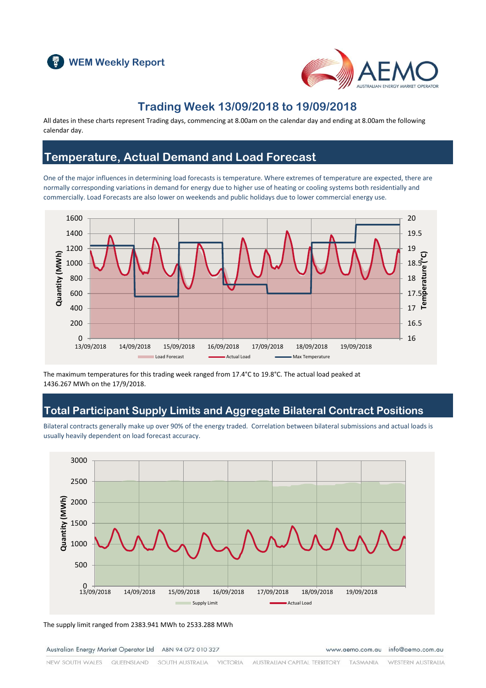



#### **Trading Week 13/09/2018 to 19/09/2018**

All dates in these charts represent Trading days, commencing at 8.00am on the calendar day and ending at 8.00am the following calendar day.

#### **Temperature, Actual Demand and Load Forecast**

One of the major influences in determining load forecasts is temperature. Where extremes of temperature are expected, there are normally corresponding variations in demand for energy due to higher use of heating or cooling systems both residentially and commercially. Load Forecasts are also lower on weekends and public holidays due to lower commercial energy use.



The maximum temperatures for this trading week ranged from 17.4°C to 19.8°C. The actual load peaked at 1436.267 MWh on the 17/9/2018.

## **Total Participant Supply Limits and Aggregate Bilateral Contract Positions**

Bilateral contracts generally make up over 90% of the energy traded. Correlation between bilateral submissions and actual loads is usually heavily dependent on load forecast accuracy.



The supply limit ranged from 2383.941 MWh to 2533.288 MWh

Australian Energy Market Operator Ltd ABN 94 072 010 327

www.aemo.com.au info@aemo.com.au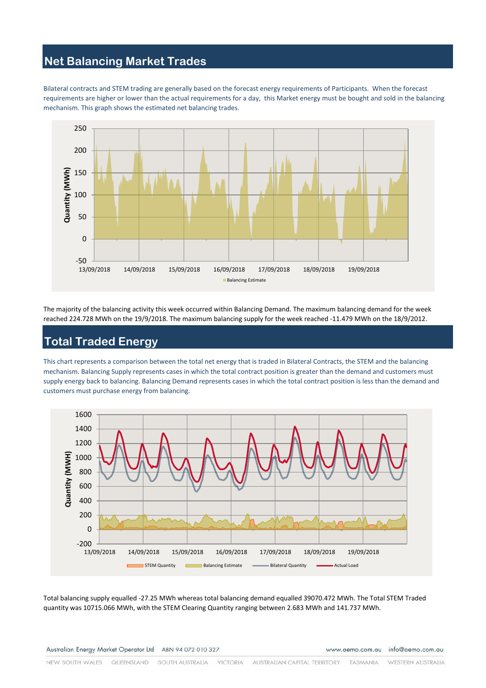# **Net Balancing Market Trades**

Bilateral contracts and STEM trading are generally based on the forecast energy requirements of Participants. When the forecast requirements are higher or lower than the actual requirements for a day, this Market energy must be bought and sold in the balancing mechanism. This graph shows the estimated net balancing trades.



The majority of the balancing activity this week occurred within Balancing Demand. The maximum balancing demand for the week reached 224.728 MWh on the 19/9/2018. The maximum balancing supply for the week reached -11.479 MWh on the 18/9/2012.

# **Total Traded Energy**

This chart represents a comparison between the total net energy that is traded in Bilateral Contracts, the STEM and the balancing mechanism. Balancing Supply represents cases in which the total contract position is greater than the demand and customers must supply energy back to balancing. Balancing Demand represents cases in which the total contract position is less than the demand and customers must purchase energy from balancing.



Total balancing supply equalled -27.25 MWh whereas total balancing demand equalled 39070.472 MWh. The Total STEM Traded quantity was 10715.066 MWh, with the STEM Clearing Quantity ranging between 2.683 MWh and 141.737 MWh.

Australian Energy Market Operator Ltd ABN 94 072 010 327